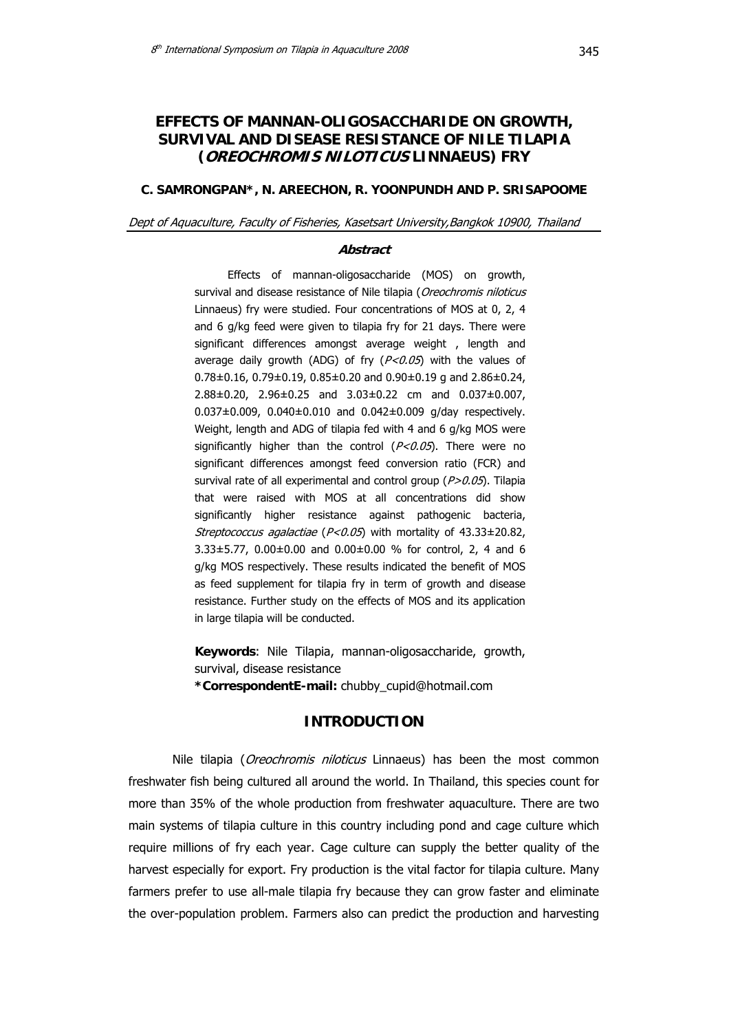# **EFFECTS OF MANNAN-OLIGOSACCHARIDE ON GROWTH, SURVIVAL AND DISEASE RESISTANCE OF NILE TILAPIA (OREOCHROMIS NILOTICUS LINNAEUS) FRY**

### **C. SAMRONGPAN\*, N. AREECHON, R. YOONPUNDH AND P. SRISAPOOME**

#### Dept of Aquaculture, Faculty of Fisheries, Kasetsart University,Bangkok 10900, Thailand

### **Abstract**

Effects of mannan-oligosaccharide (MOS) on growth, survival and disease resistance of Nile tilapia (Oreochromis niloticus Linnaeus) fry were studied. Four concentrations of MOS at 0, 2, 4 and 6 g/kg feed were given to tilapia fry for 21 days. There were significant differences amongst average weight, length and average daily growth (ADG) of fry  $(P<0.05)$  with the values of 0.78±0.16, 0.79±0.19, 0.85±0.20 and 0.90±0.19 g and 2.86±0.24, 2.88±0.20, 2.96±0.25 and 3.03±0.22 cm and 0.037±0.007, 0.037±0.009, 0.040±0.010 and 0.042±0.009 g/day respectively. Weight, length and ADG of tilapia fed with 4 and 6 g/kg MOS were significantly higher than the control  $(P<0.05)$ . There were no significant differences amongst feed conversion ratio (FCR) and survival rate of all experimental and control group ( $P > 0.05$ ). Tilapia that were raised with MOS at all concentrations did show significantly higher resistance against pathogenic bacteria, Streptococcus agalactiae ( $P < 0.05$ ) with mortality of 43.33 $\pm$ 20.82, 3.33±5.77, 0.00±0.00 and 0.00±0.00 % for control, 2, 4 and 6 g/kg MOS respectively. These results indicated the benefit of MOS as feed supplement for tilapia fry in term of growth and disease resistance. Further study on the effects of MOS and its application in large tilapia will be conducted.

**Keywords**: Nile Tilapia, mannan-oligosaccharide, growth, survival, disease resistance **\*CorrespondentE-mail:** chubby\_cupid@hotmail.com

### **INTRODUCTION**

Nile tilapia (*Oreochromis niloticus* Linnaeus) has been the most common freshwater fish being cultured all around the world. In Thailand, this species count for more than 35% of the whole production from freshwater aquaculture. There are two main systems of tilapia culture in this country including pond and cage culture which require millions of fry each year. Cage culture can supply the better quality of the harvest especially for export. Fry production is the vital factor for tilapia culture. Many farmers prefer to use all-male tilapia fry because they can grow faster and eliminate the over-population problem. Farmers also can predict the production and harvesting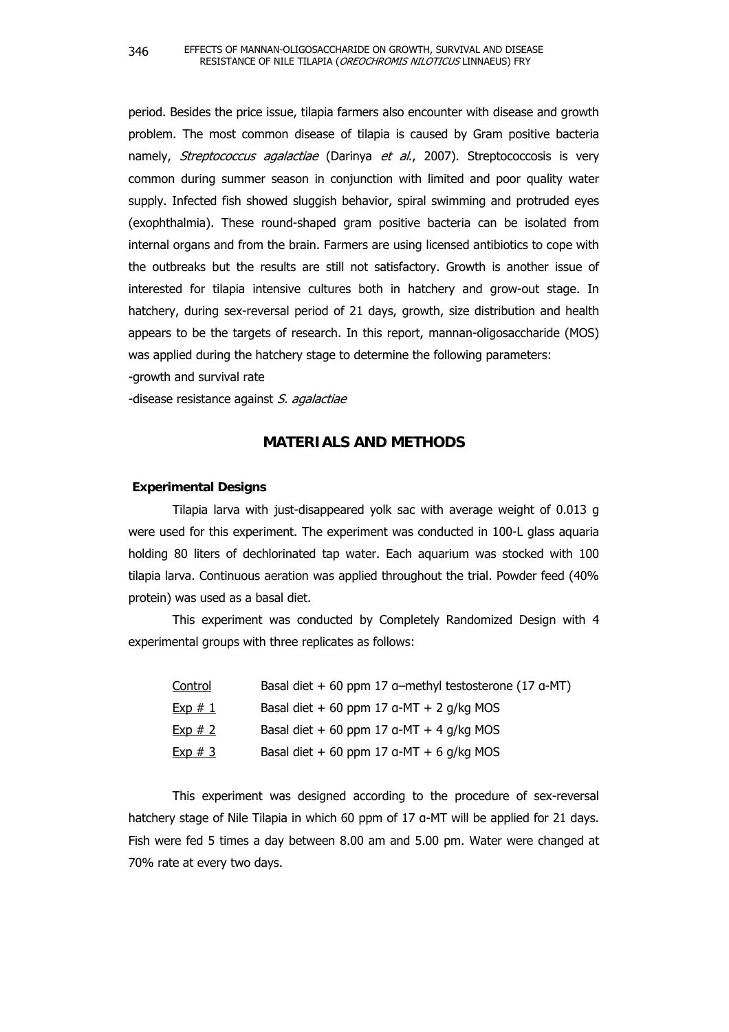period. Besides the price issue, tilapia farmers also encounter with disease and growth problem. The most common disease of tilapia is caused by Gram positive bacteria namely, Streptococcus agalactiae (Darinya et al., 2007). Streptococcosis is very common during summer season in conjunction with limited and poor quality water supply. Infected fish showed sluggish behavior, spiral swimming and protruded eyes (exophthalmia). These round-shaped gram positive bacteria can be isolated from internal organs and from the brain. Farmers are using licensed antibiotics to cope with the outbreaks but the results are still not satisfactory. Growth is another issue of interested for tilapia intensive cultures both in hatchery and grow-out stage. In hatchery, during sex-reversal period of 21 days, growth, size distribution and health appears to be the targets of research. In this report, mannan-oligosaccharide (MOS) was applied during the hatchery stage to determine the following parameters:

-growth and survival rate

-disease resistance against S. agalactiae

# **MATERIALS AND METHODS**

#### **Experimental Designs**

 Tilapia larva with just-disappeared yolk sac with average weight of 0.013 g were used for this experiment. The experiment was conducted in 100-L glass aquaria holding 80 liters of dechlorinated tap water. Each aquarium was stocked with 100 tilapia larva. Continuous aeration was applied throughout the trial. Powder feed (40% protein) was used as a basal diet.

 This experiment was conducted by Completely Randomized Design with 4 experimental groups with three replicates as follows:

| Control | Basal diet $+60$ ppm 17 a-methyl testosterone (17 a-MT) |
|---------|---------------------------------------------------------|
| Exp#1   | Basal diet + 60 ppm 17 $a$ -MT + 2 g/kg MOS             |
| Exp#2   | Basal diet + 60 ppm 17 $a$ -MT + 4 $q/kg$ MOS           |
| Exp#3   | Basal diet + 60 ppm 17 $a$ -MT + 6 g/kg MOS             |

This experiment was designed according to the procedure of sex-reversal hatchery stage of Nile Tilapia in which 60 ppm of 17 g-MT will be applied for 21 days. Fish were fed 5 times a day between 8.00 am and 5.00 pm. Water were changed at 70% rate at every two days.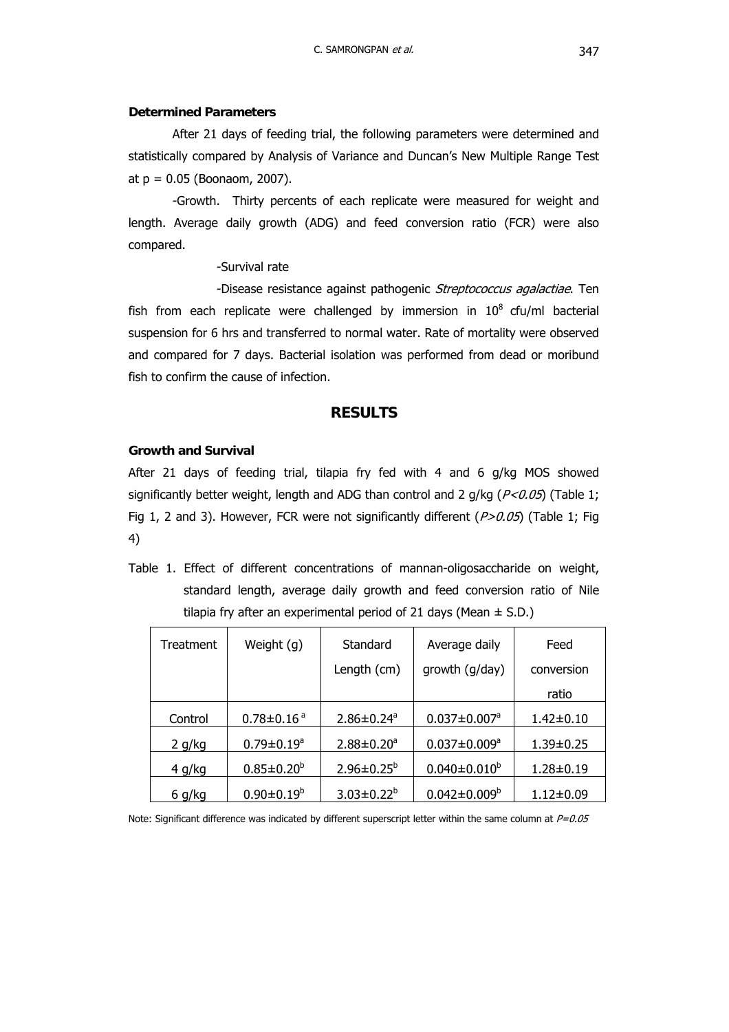### **Determined Parameters**

 After 21 days of feeding trial, the following parameters were determined and statistically compared by Analysis of Variance and Duncan's New Multiple Range Test at  $p = 0.05$  (Boonaom, 2007).

 -Growth. Thirty percents of each replicate were measured for weight and length. Average daily growth (ADG) and feed conversion ratio (FCR) were also compared.

# -Survival rate

-Disease resistance against pathogenic *Streptococcus agalactiae*. Ten fish from each replicate were challenged by immersion in  $10^8$  cfu/ml bacterial suspension for 6 hrs and transferred to normal water. Rate of mortality were observed and compared for 7 days. Bacterial isolation was performed from dead or moribund fish to confirm the cause of infection.

# **RESULTS**

## **Growth and Survival**

After 21 days of feeding trial, tilapia fry fed with 4 and 6 g/kg MOS showed significantly better weight, length and ADG than control and 2 g/kg ( $P < 0.05$ ) (Table 1; Fig 1, 2 and 3). However, FCR were not significantly different  $(P>0.05)$  (Table 1; Fig 4)

Table 1. Effect of different concentrations of mannan-oligosaccharide on weight, standard length, average daily growth and feed conversion ratio of Nile tilapia fry after an experimental period of 21 days (Mean  $\pm$  S.D.)

| Treatment     | Weight (g)                   | Standard                     | Average daily                  | Feed            |
|---------------|------------------------------|------------------------------|--------------------------------|-----------------|
|               |                              | Length (cm)                  | growth (g/day)                 | conversion      |
|               |                              |                              |                                | ratio           |
| Control       | $0.78 \pm 0.16$ <sup>a</sup> | $2.86 \pm 0.24$ <sup>a</sup> | $0.037 \pm 0.007$ <sup>a</sup> | $1.42 \pm 0.10$ |
| 2 g/kg        | $0.79 \pm 0.19^a$            | $2.88 \pm 0.20^a$            | $0.037 \pm 0.009^a$            | $1.39 \pm 0.25$ |
| 4 g/kg        | $0.85 \pm 0.20^b$            | $2.96 \pm 0.25^b$            | $0.040 \pm 0.010^b$            | 1.28±0.19       |
| <u>6 g/kg</u> | $0.90 \pm 0.19^b$            | $3.03 \pm 0.22^b$            | $0.042 \pm 0.009^b$            | 1.12±0.09       |

Note: Significant difference was indicated by different superscript letter within the same column at  $P=0.05$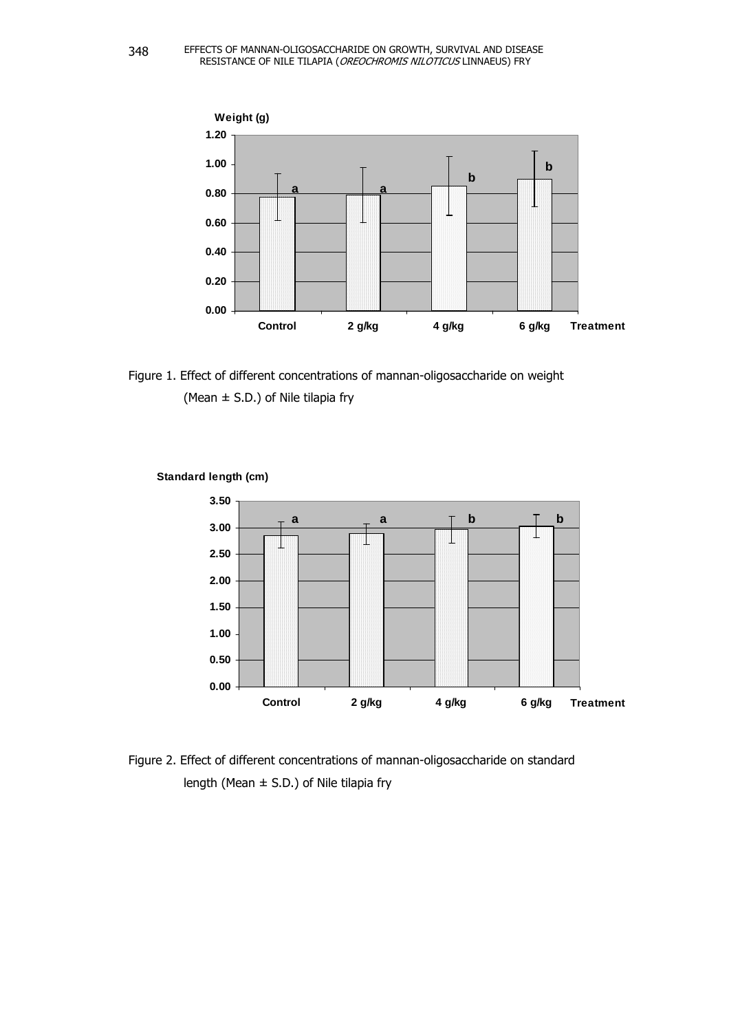

Figure 1. Effect of different concentrations of mannan-oligosaccharide on weight (Mean  $\pm$  S.D.) of Nile tilapia fry



**Standard length (cm)**

Figure 2. Effect of different concentrations of mannan-oligosaccharide on standard length (Mean  $\pm$  S.D.) of Nile tilapia fry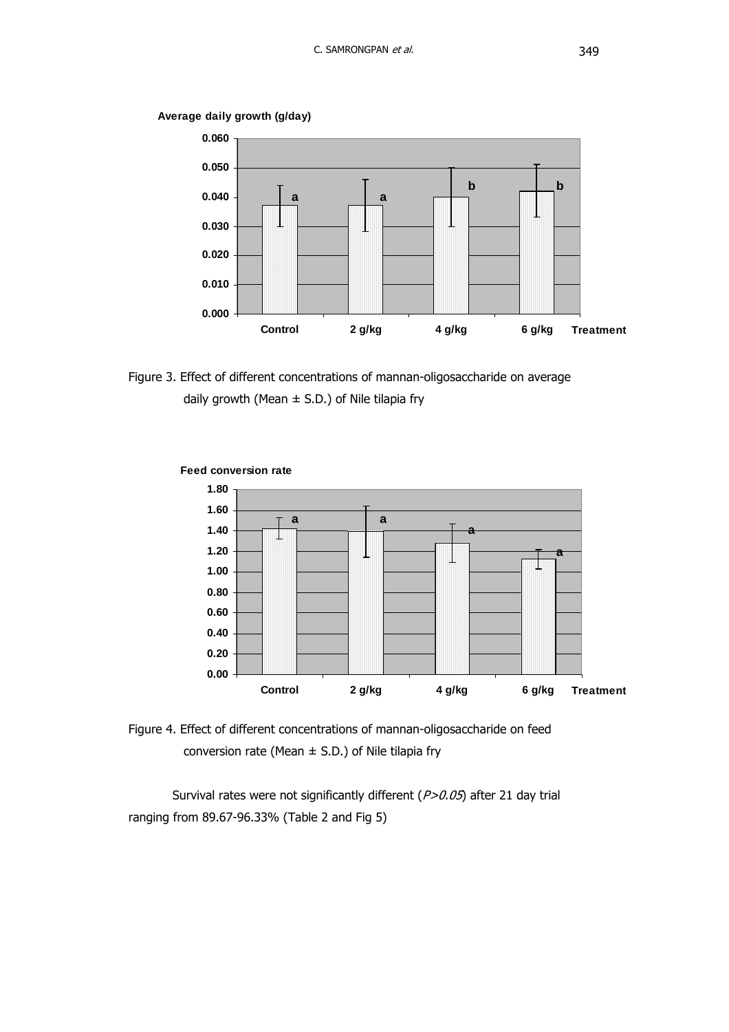

**Average daily growth (g/day)**





**Feed conversion rate**

Figure 4. Effect of different concentrations of mannan-oligosaccharide on feed conversion rate (Mean  $\pm$  S.D.) of Nile tilapia fry

Survival rates were not significantly different  $(P>0.05)$  after 21 day trial ranging from 89.67-96.33% (Table 2 and Fig 5)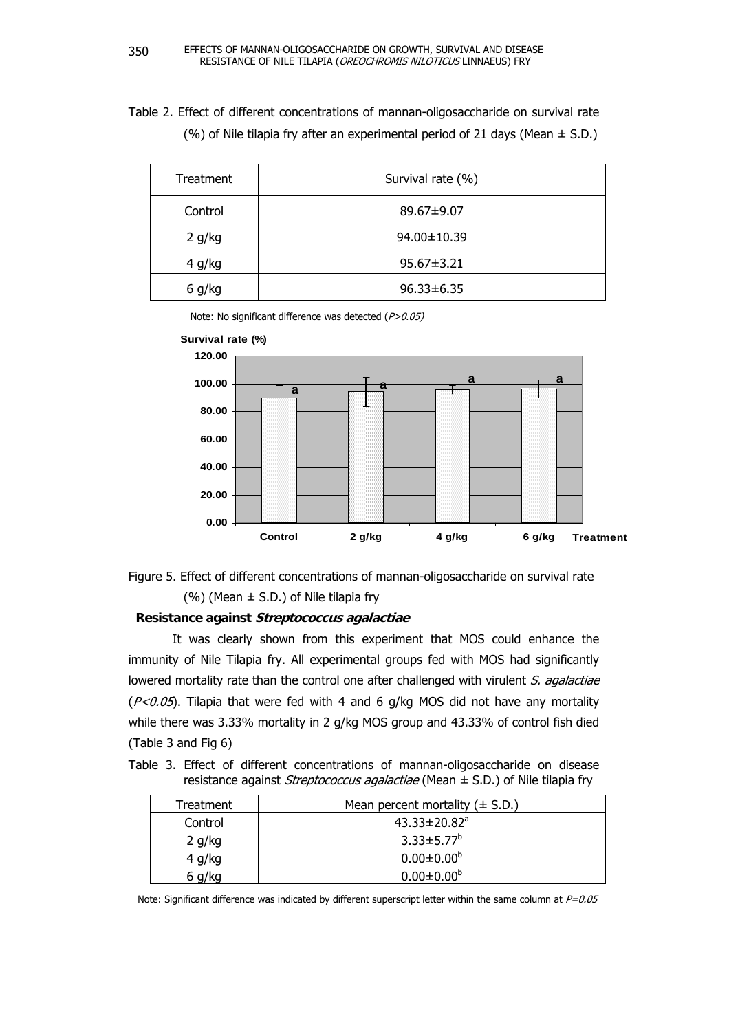Table 2. Effect of different concentrations of mannan-oligosaccharide on survival rate (%) of Nile tilapia fry after an experimental period of 21 days (Mean  $\pm$  S.D.)

| Treatment | Survival rate (%) |
|-----------|-------------------|
| Control   | 89.67±9.07        |
| 2 g/kg    | 94.00±10.39       |
| 4 g/kg    | $95.67 \pm 3.21$  |
| 6 g/kg    | $96.33 \pm 6.35$  |

Note: No significant difference was detected (P>0.05)





# **Resistance against Streptococcus agalactiae**

It was clearly shown from this experiment that MOS could enhance the immunity of Nile Tilapia fry. All experimental groups fed with MOS had significantly lowered mortality rate than the control one after challenged with virulent S. agalactiae  $(P<0.05)$ . Tilapia that were fed with 4 and 6 g/kg MOS did not have any mortality while there was 3.33% mortality in 2 g/kg MOS group and 43.33% of control fish died (Table 3 and Fig 6)

Table 3. Effect of different concentrations of mannan-oligosaccharide on disease resistance against *Streptococcus agalactiae* (Mean  $\pm$  S.D.) of Nile tilapia fry

| Treatment | Mean percent mortality $(\pm S.D.)$ |
|-----------|-------------------------------------|
| Control   | 43.33 $\pm$ 20.82 <sup>a</sup>      |
| 2 g/kg    | $3.33 \pm 5.77^b$                   |
| 4 g/kg    | $0.00 \pm 0.00^b$                   |
| 6 g/kg    | $0.00 \pm 0.00^b$                   |

Note: Significant difference was indicated by different superscript letter within the same column at  $P=0.05$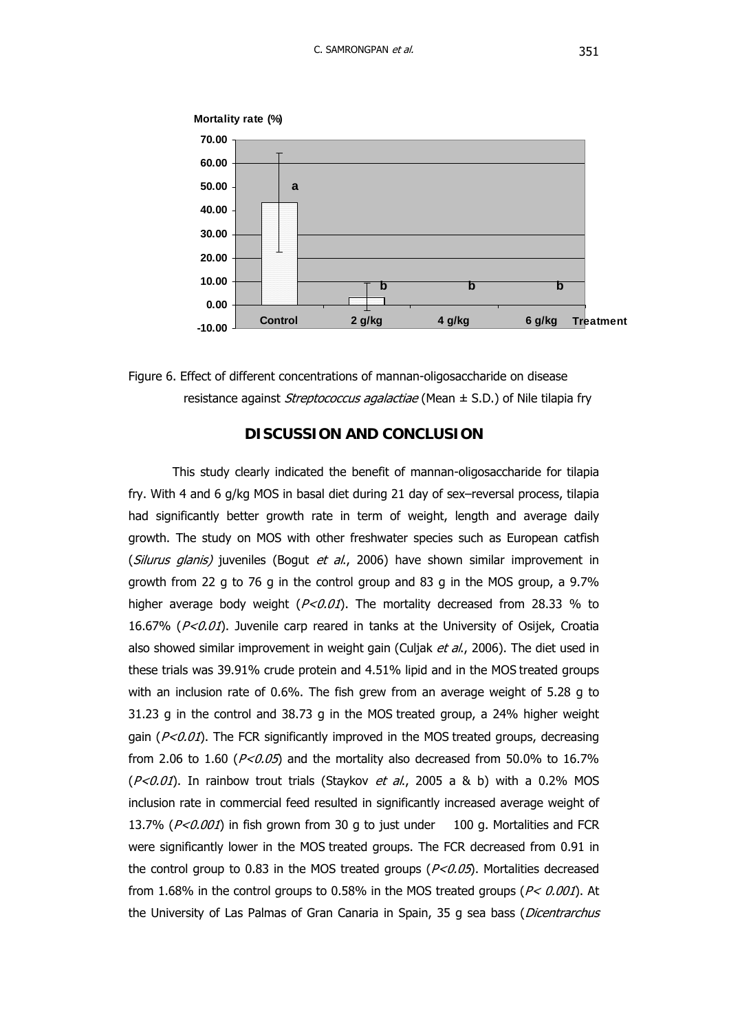

resistance against *Streptococcus agalactiae* (Mean  $\pm$  S.D.) of Nile tilapia fry Figure 6. Effect of different concentrations of mannan-oligosaccharide on disease

# **DISCUSSION AND CONCLUSION**

16.67% (P<0.01). Juvenile carp reared in tanks at the University of Osijek, Croatia the control group to 0.83 in the MOS treated groups ( $P<sub>0.05</sub>$ ). Mortalities decreased This study clearly indicated the benefit of mannan-oligosaccharide for tilapia fry. With 4 and 6 g/kg MOS in basal diet during 21 day of sex–reversal process, tilapia had significantly better growth rate in term of weight, length and average daily growth. The study on MOS with other freshwater species such as European catfish (*Silurus glanis*) juveniles (Bogut *et al.*, 2006) have shown similar improvement in growth from 22 g to 76 g in the control group and 83 g in the MOS group, a 9.7% higher average body weight ( $P < 0.01$ ). The mortality decreased from 28.33 % to also showed similar improvement in weight gain (Culjak et al., 2006). The diet used in these trials was 39.91% crude protein and 4.51% lipid and in the MOS treated groups with an inclusion rate of 0.6%. The fish grew from an average weight of 5.28 g to 31.23 g in the control and 38.73 g in the MOS treated group, a 24% higher weight gain ( $P < 0.01$ ). The FCR significantly improved in the MOS treated groups, decreasing from 2.06 to 1.60 ( $P < 0.05$ ) and the mortality also decreased from 50.0% to 16.7%  $(P<0.01)$ . In rainbow trout trials (Staykov et al., 2005 a & b) with a 0.2% MOS inclusion rate in commercial feed resulted in significantly increased average weight of 13.7% ( $P < 0.001$ ) in fish grown from 30 g to just under 100 g. Mortalities and FCR were significantly lower in the MOS treated groups. The FCR decreased from 0.91 in from 1.68% in the control groups to 0.58% in the MOS treated groups ( $P < 0.001$ ). At the University of Las Palmas of Gran Canaria in Spain, 35 g sea bass (*Dicentrarchus*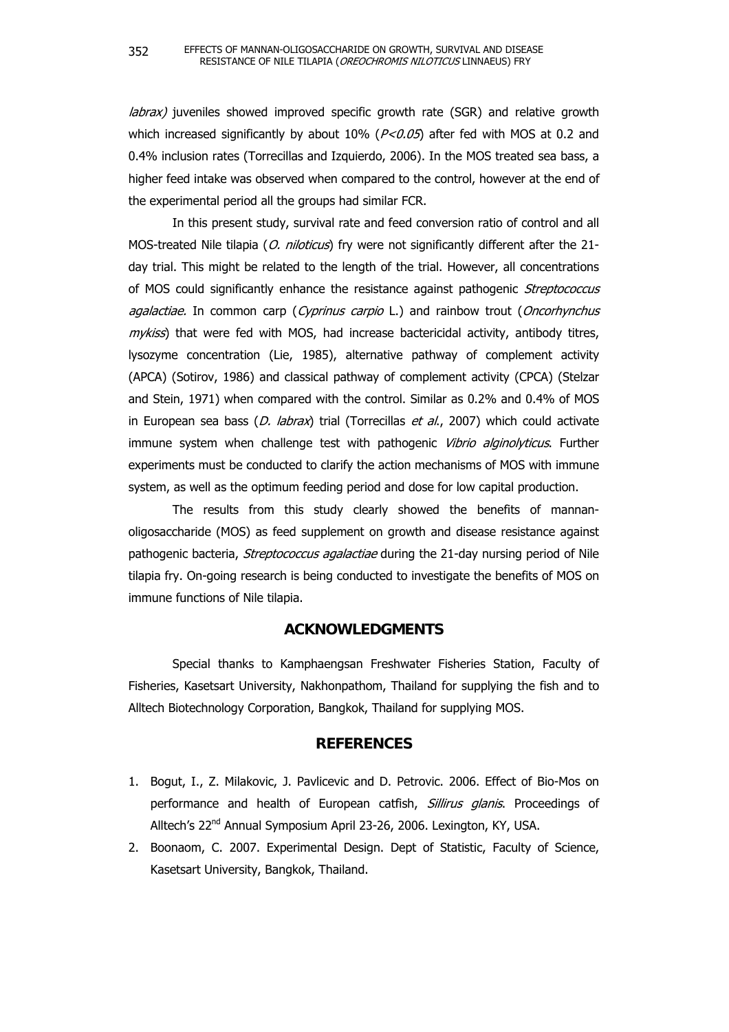labrax) juveniles showed improved specific growth rate (SGR) and relative growth which increased significantly by about 10% ( $P < 0.05$ ) after fed with MOS at 0.2 and 0.4% inclusion rates (Torrecillas and Izquierdo, 2006). In the MOS treated sea bass, a higher feed intake was observed when compared to the control, however at the end of the experimental period all the groups had similar FCR.

In this present study, survival rate and feed conversion ratio of control and all MOS-treated Nile tilapia (O. niloticus) fry were not significantly different after the 21day trial. This might be related to the length of the trial. However, all concentrations of MOS could significantly enhance the resistance against pathogenic Streptococcus agalactiae. In common carp (Cyprinus carpio L.) and rainbow trout (Oncorhynchus  $m\nu$ *kiss*) that were fed with MOS, had increase bactericidal activity, antibody titres, lysozyme concentration (Lie, 1985), alternative pathway of complement activity (APCA) (Sotirov, 1986) and classical pathway of complement activity (CPCA) (Stelzar and Stein, 1971) when compared with the control. Similar as 0.2% and 0.4% of MOS in European sea bass  $(D.$  labrax) trial (Torrecillas et al., 2007) which could activate immune system when challenge test with pathogenic *Vibrio alginolyticus*. Further experiments must be conducted to clarify the action mechanisms of MOS with immune system, as well as the optimum feeding period and dose for low capital production.

The results from this study clearly showed the benefits of mannanoligosaccharide (MOS) as feed supplement on growth and disease resistance against pathogenic bacteria, *Streptococcus agalactiae* during the 21-day nursing period of Nile tilapia fry. On-going research is being conducted to investigate the benefits of MOS on immune functions of Nile tilapia.

### **ACKNOWLEDGMENTS**

Special thanks to Kamphaengsan Freshwater Fisheries Station, Faculty of Fisheries, Kasetsart University, Nakhonpathom, Thailand for supplying the fish and to Alltech Biotechnology Corporation, Bangkok, Thailand for supplying MOS.

# **REFERENCES**

- 1. Bogut, I., Z. Milakovic, J. Pavlicevic and D. Petrovic. 2006. Effect of Bio-Mos on performance and health of European catfish, Sillirus glanis. Proceedings of Alltech's 22nd Annual Symposium April 23-26, 2006. Lexington, KY, USA.
- 2. Boonaom, C. 2007. Experimental Design. Dept of Statistic, Faculty of Science, Kasetsart University, Bangkok, Thailand.